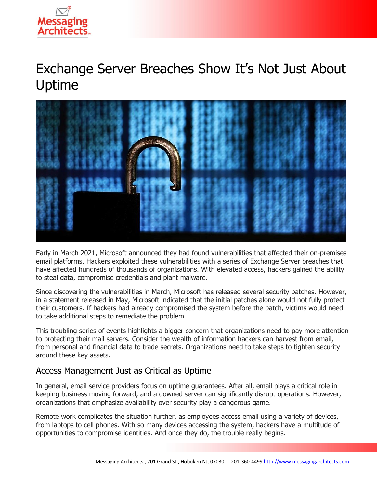

# Exchange Server Breaches Show It's Not Just About Uptime



Early in March 2021, Microsoft announced they had found vulnerabilities that affected their on-premises email platforms. Hackers exploited these vulnerabilities with a series of Exchange Server breaches that have affected hundreds of thousands of organizations. With elevated access, hackers gained the ability to steal data, compromise credentials and plant malware.

Since discovering the vulnerabilities in March, Microsoft has released several security patches. However, in a statement released in May, Microsoft indicated that the initial patches alone would not fully protect their customers. If hackers had already compromised the system before the patch, victims would need to take additional steps to remediate the problem.

This troubling series of events highlights a bigger concern that organizations need to pay more attention to protecting their mail servers. Consider the wealth of information hackers can harvest from email, from personal and financial data to trade secrets. Organizations need to take steps to tighten security around these key assets.

## Access Management Just as Critical as Uptime

In general, email service providers focus on uptime guarantees. After all, email plays a critical role in keeping business moving forward, and a downed server can significantly disrupt operations. However, organizations that emphasize availability over security play a dangerous game.

Remote work complicates the situation further, as employees access email using a variety of devices, from laptops to cell phones. With so many devices accessing the system, hackers have a multitude of opportunities to compromise identities. And once they do, the trouble really begins.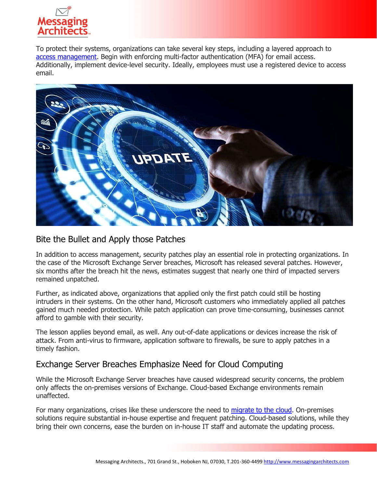

To protect their systems, organizations can take several key steps, including a layered approach to [access management.](https://www.emazzanti.net/endpoint-security-best-practices/) Begin with enforcing multi-factor authentication (MFA) for email access. Additionally, implement device-level security. Ideally, employees must use a registered device to access email.



#### Bite the Bullet and Apply those Patches

In addition to access management, security patches play an essential role in protecting organizations. In the case of the Microsoft Exchange Server breaches, Microsoft has released several patches. However, six months after the breach hit the news, estimates suggest that nearly one third of impacted servers remained unpatched.

Further, as indicated above, organizations that applied only the first patch could still be hosting intruders in their systems. On the other hand, Microsoft customers who immediately applied all patches gained much needed protection. While patch application can prove time-consuming, businesses cannot afford to gamble with their security.

The lesson applies beyond email, as well. Any out-of-date applications or devices increase the risk of attack. From anti-virus to firmware, application software to firewalls, be sure to apply patches in a timely fashion.

#### Exchange Server Breaches Emphasize Need for Cloud Computing

While the Microsoft Exchange Server breaches have caused widespread security concerns, the problem only affects the on-premises versions of Exchange. Cloud-based Exchange environments remain unaffected.

For many organizations, crises like these underscore the need to [migrate to the cloud.](https://messagingarchitects.com/microsoft-365-migration-tips/) On-premises solutions require substantial in-house expertise and frequent patching. Cloud-based solutions, while they bring their own concerns, ease the burden on in-house IT staff and automate the updating process.